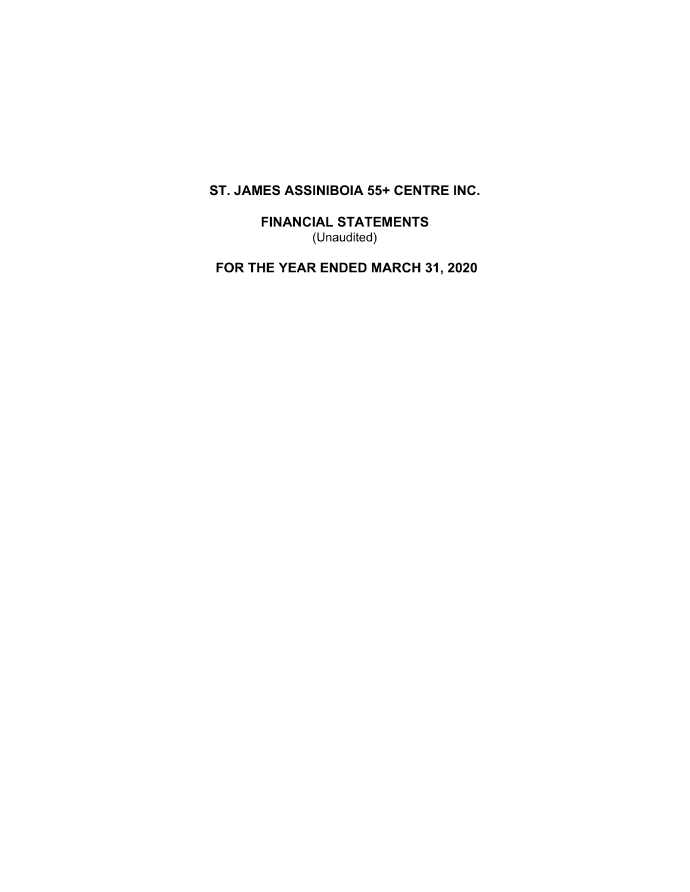**FINANCIAL STATEMENTS** (Unaudited)

 **FOR THE YEAR ENDED MARCH 31, 2020**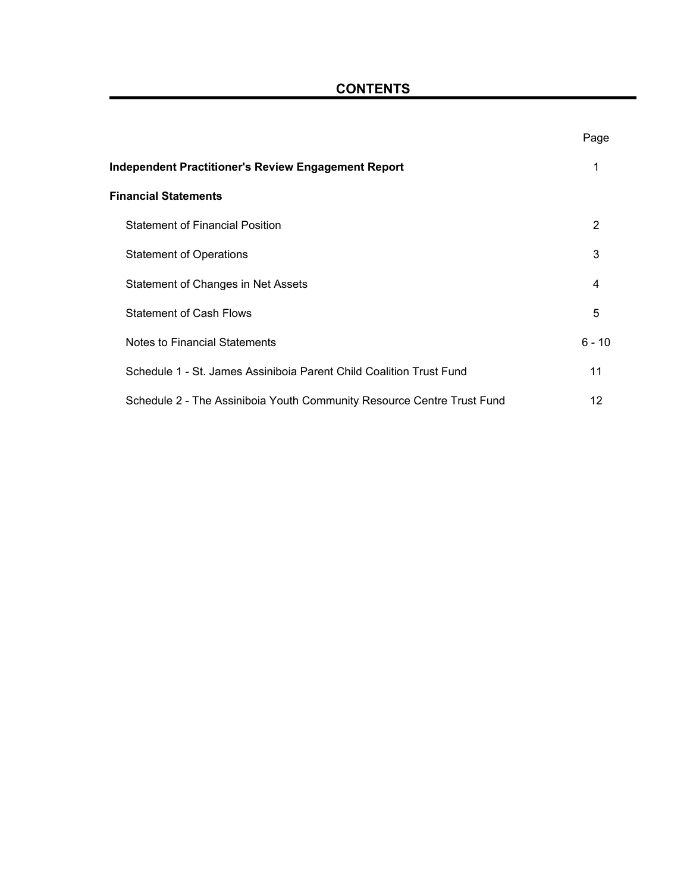| <b>CONTENTS</b> |  |
|-----------------|--|
|-----------------|--|

|                                                                        | Page     |
|------------------------------------------------------------------------|----------|
| Independent Practitioner's Review Engagement Report                    | 1        |
| <b>Financial Statements</b>                                            |          |
| <b>Statement of Financial Position</b>                                 | 2        |
| <b>Statement of Operations</b>                                         | 3        |
| Statement of Changes in Net Assets                                     | 4        |
| <b>Statement of Cash Flows</b>                                         | 5        |
| Notes to Financial Statements                                          | $6 - 10$ |
| Schedule 1 - St. James Assiniboia Parent Child Coalition Trust Fund    | 11       |
| Schedule 2 - The Assiniboia Youth Community Resource Centre Trust Fund | 12       |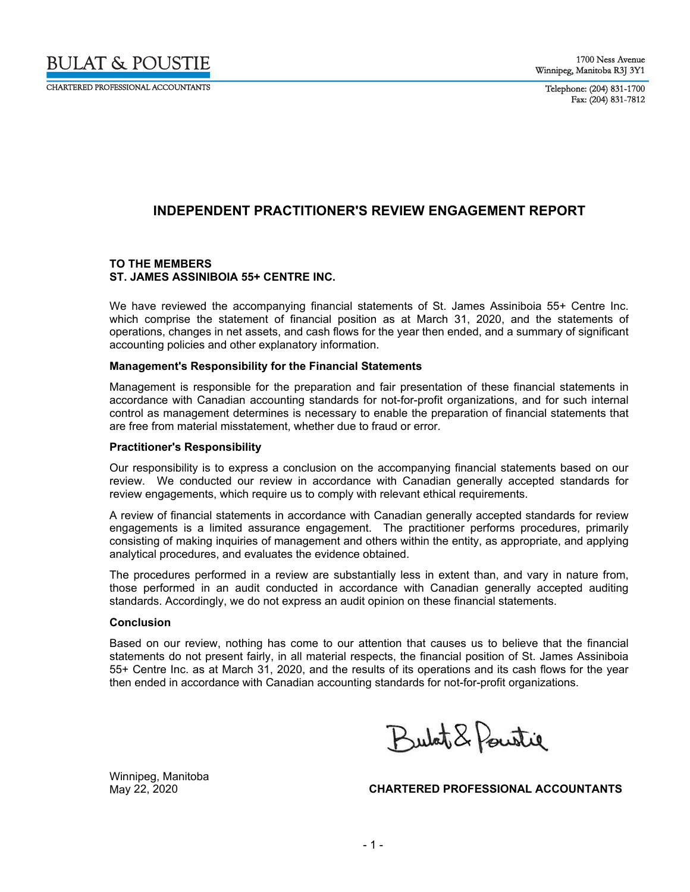

CHARTERED PROFESSIONAL ACCOLINTANTS

Telephone: (204) 831-1700 Fax: (204) 831-7812

# **INDEPENDENT PRACTITIONER'S REVIEW ENGAGEMENT REPORT**

#### **TO THE MEMBERS ST. JAMES ASSINIBOIA 55+ CENTRE INC.**

We have reviewed the accompanying financial statements of St. James Assiniboia 55+ Centre Inc. which comprise the statement of financial position as at March 31, 2020, and the statements of operations, changes in net assets, and cash flows for the year then ended, and a summary of significant accounting policies and other explanatory information.

#### **Management's Responsibility for the Financial Statements**

Management is responsible for the preparation and fair presentation of these financial statements in accordance with Canadian accounting standards for not-for-profit organizations, and for such internal control as management determines is necessary to enable the preparation of financial statements that are free from material misstatement, whether due to fraud or error.

#### **Practitioner's Responsibility**

Our responsibility is to express a conclusion on the accompanying financial statements based on our review. We conducted our review in accordance with Canadian generally accepted standards for review engagements, which require us to comply with relevant ethical requirements.

A review of financial statements in accordance with Canadian generally accepted standards for review engagements is a limited assurance engagement. The practitioner performs procedures, primarily consisting of making inquiries of management and others within the entity, as appropriate, and applying analytical procedures, and evaluates the evidence obtained.

The procedures performed in a review are substantially less in extent than, and vary in nature from, those performed in an audit conducted in accordance with Canadian generally accepted auditing standards. Accordingly, we do not express an audit opinion on these financial statements.

#### **Conclusion**

Based on our review, nothing has come to our attention that causes us to believe that the financial statements do not present fairly, in all material respects, the financial position of St. James Assiniboia 55+ Centre Inc. as at March 31, 2020, and the results of its operations and its cash flows for the year then ended in accordance with Canadian accounting standards for not-for-profit organizations.

Butat & Pointie

Winnipeg, Manitoba

May 22, 2020 **CHARTERED PROFESSIONAL ACCOUNTANTS**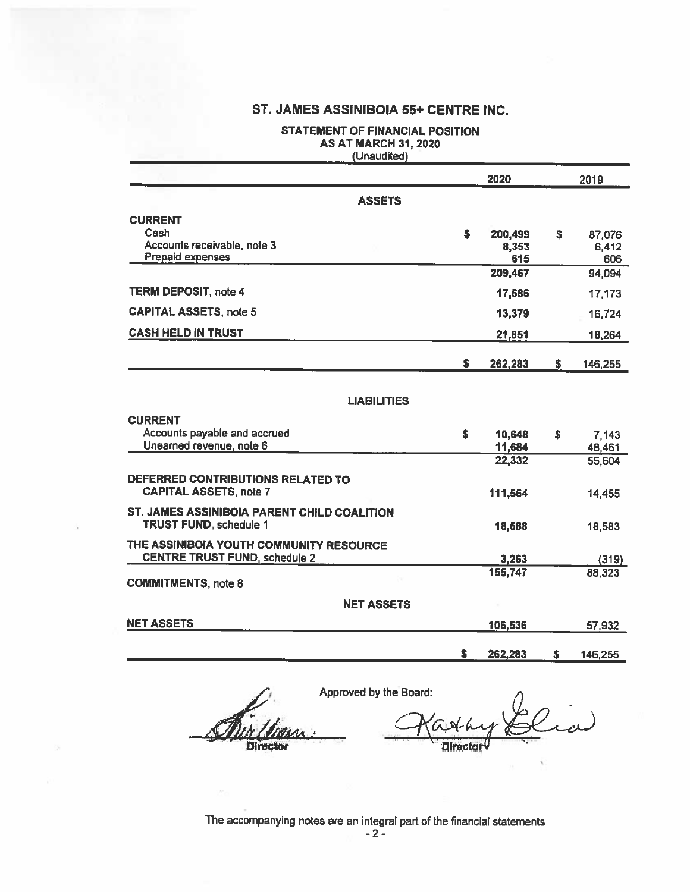# STATEMENT OF FINANCIAL POSITION AS AT MARCH 31, 2020

|                                                                                     |     | 2020    |    | 2019    |
|-------------------------------------------------------------------------------------|-----|---------|----|---------|
| <b>ASSETS</b>                                                                       |     |         |    |         |
| <b>CURRENT</b>                                                                      |     |         |    |         |
| Cash                                                                                | \$  | 200,499 | S  | 87,076  |
| Accounts receivable, note 3                                                         |     | 8,353   |    | 6,412   |
| <b>Prepaid expenses</b>                                                             |     | 615     |    | 606     |
|                                                                                     |     | 209,467 |    | 94,094  |
| <b>TERM DEPOSIT, note 4</b>                                                         |     | 17,586  |    | 17,173  |
| <b>CAPITAL ASSETS, note 5</b>                                                       |     | 13,379  |    | 16,724  |
| <b>CASH HELD IN TRUST</b>                                                           |     | 21,851  |    | 18,264  |
|                                                                                     | \$. | 262,283 | S. | 146,255 |
|                                                                                     |     |         |    |         |
| <b>LIABILITIES</b>                                                                  |     |         |    |         |
| <b>CURRENT</b>                                                                      |     |         |    |         |
| Accounts payable and accrued                                                        | \$  | 10,648  | \$ | 7,143   |
| Unearned revenue, note 6                                                            |     | 11,684  |    | 48,461  |
|                                                                                     |     | 22,332  |    | 55,604  |
| DEFERRED CONTRIBUTIONS RELATED TO                                                   |     |         |    |         |
| <b>CAPITAL ASSETS, note 7</b>                                                       |     | 111,564 |    | 14,455  |
|                                                                                     |     |         |    |         |
| <b>ST. JAMES ASSINIBOIA PARENT CHILD COALITION</b><br><b>TRUST FUND, schedule 1</b> |     |         |    |         |
|                                                                                     |     | 18,588  |    | 18,583  |
| THE ASSINIBOIA YOUTH COMMUNITY RESOURCE                                             |     |         |    |         |
| <b>CENTRE TRUST FUND, schedule 2</b>                                                |     | 3,263   |    | (319)   |
| <b>COMMITMENTS, note 8</b>                                                          |     | 155,747 |    | 88,323  |
| <b>NET ASSETS</b>                                                                   |     |         |    |         |
| NET ASSETS                                                                          |     | 106,536 |    |         |
|                                                                                     |     |         |    | 57,932  |
|                                                                                     | \$  | 262,283 | \$ | 146,255 |

Approved by the Board: Director

(ربن۔ **Director** 

# The accompanying notes are an integral part of the financial statements<br>- 2 -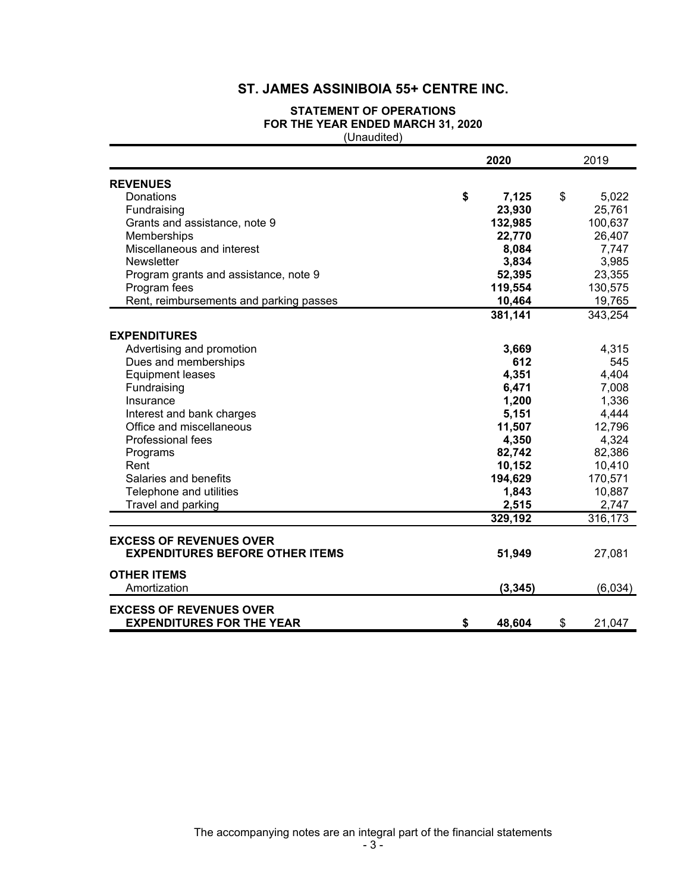### **STATEMENT OF OPERATIONS FOR THE YEAR ENDED MARCH 31, 2020** (Unaudited)

|                                         | 2020         | 2019         |
|-----------------------------------------|--------------|--------------|
| <b>REVENUES</b>                         |              |              |
| Donations                               | \$<br>7,125  | \$<br>5,022  |
| Fundraising                             | 23,930       | 25,761       |
| Grants and assistance, note 9           | 132,985      | 100,637      |
| Memberships                             | 22,770       | 26,407       |
| Miscellaneous and interest              | 8,084        | 7,747        |
| <b>Newsletter</b>                       | 3,834        | 3,985        |
| Program grants and assistance, note 9   | 52,395       | 23,355       |
| Program fees                            | 119,554      | 130,575      |
| Rent, reimbursements and parking passes | 10,464       | 19,765       |
|                                         | 381,141      | 343,254      |
| <b>EXPENDITURES</b>                     |              |              |
| Advertising and promotion               | 3,669        | 4,315        |
| Dues and memberships                    | 612          | 545          |
| <b>Equipment leases</b>                 | 4,351        | 4,404        |
| Fundraising                             | 6,471        | 7,008        |
| Insurance                               | 1,200        | 1,336        |
| Interest and bank charges               | 5,151        | 4,444        |
| Office and miscellaneous                | 11,507       | 12,796       |
| Professional fees                       | 4,350        | 4,324        |
| Programs                                | 82,742       | 82,386       |
| Rent                                    | 10,152       | 10,410       |
| Salaries and benefits                   | 194,629      | 170,571      |
| Telephone and utilities                 | 1,843        | 10,887       |
| Travel and parking                      | 2,515        | 2,747        |
|                                         | 329,192      | 316,173      |
| <b>EXCESS OF REVENUES OVER</b>          |              |              |
| <b>EXPENDITURES BEFORE OTHER ITEMS</b>  | 51,949       | 27,081       |
| <b>OTHER ITEMS</b>                      |              |              |
| Amortization                            | (3, 345)     | (6,034)      |
| <b>EXCESS OF REVENUES OVER</b>          |              |              |
| <b>EXPENDITURES FOR THE YEAR</b>        | \$<br>48,604 | \$<br>21,047 |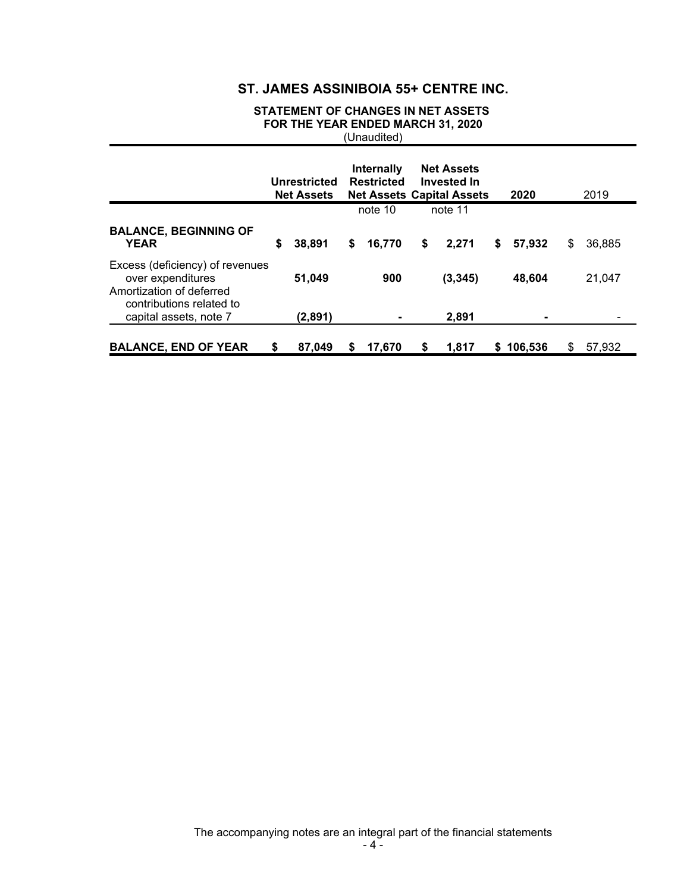### **STATEMENT OF CHANGES IN NET ASSETS FOR THE YEAR ENDED MARCH 31, 2020** (Unaudited)

|                                                                                                              |   | Unrestricted<br><b>Net Assets</b> | Internally<br><b>Restricted</b> | <b>Net Assets</b><br><b>Invested In</b><br><b>Net Assets Capital Assets</b> |    | 2020    |   | 2019   |
|--------------------------------------------------------------------------------------------------------------|---|-----------------------------------|---------------------------------|-----------------------------------------------------------------------------|----|---------|---|--------|
|                                                                                                              |   |                                   | note 10                         | note 11                                                                     |    |         |   |        |
| <b>BALANCE, BEGINNING OF</b><br><b>YEAR</b>                                                                  | S | 38,891                            | \$<br>16,770                    | \$<br>2,271                                                                 | S. | 57,932  | S | 36,885 |
| Excess (deficiency) of revenues<br>over expenditures<br>Amortization of deferred<br>contributions related to |   | 51,049                            | 900                             | (3, 345)                                                                    |    | 48,604  |   | 21,047 |
| capital assets, note 7                                                                                       |   | (2,891)                           |                                 | 2,891                                                                       |    |         |   |        |
| <b>BALANCE, END OF YEAR</b>                                                                                  | S | 87,049                            | \$<br>17.670                    | \$<br>1,817                                                                 | S. | 106,536 | S | 57,932 |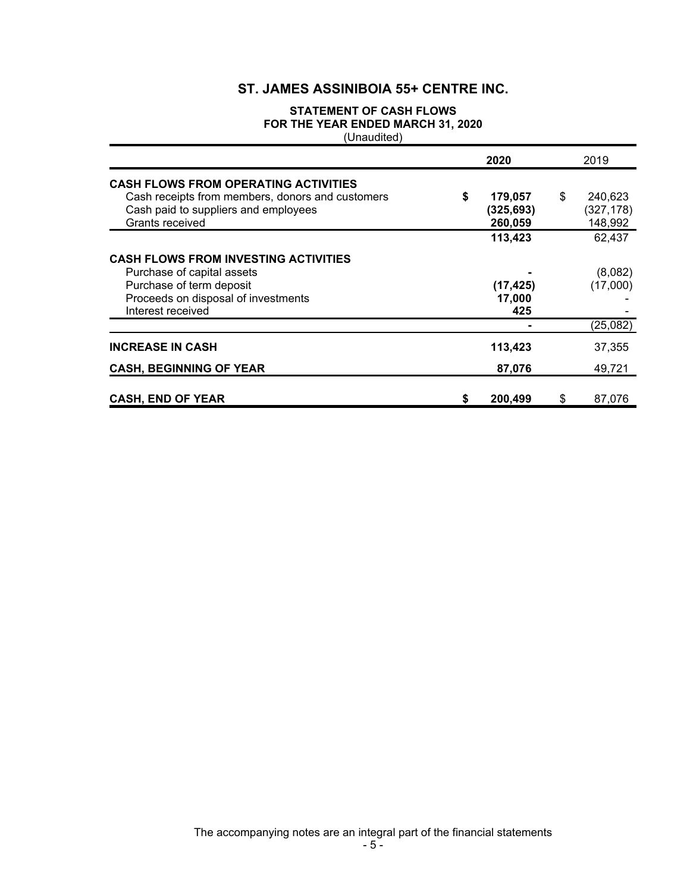### **STATEMENT OF CASH FLOWS FOR THE YEAR ENDED MARCH 31, 2020** (Unaudited)

|                                                                                                                                                                   | 2020                                  | 2019                                   |
|-------------------------------------------------------------------------------------------------------------------------------------------------------------------|---------------------------------------|----------------------------------------|
| <b>CASH FLOWS FROM OPERATING ACTIVITIES</b><br>Cash receipts from members, donors and customers<br>Cash paid to suppliers and employees<br>Grants received        | \$<br>179,057<br>(325,693)<br>260,059 | \$<br>240.623<br>(327, 178)<br>148,992 |
|                                                                                                                                                                   | 113,423                               | 62,437                                 |
| <b>CASH FLOWS FROM INVESTING ACTIVITIES</b><br>Purchase of capital assets<br>Purchase of term deposit<br>Proceeds on disposal of investments<br>Interest received | (17, 425)<br>17,000<br>425            | (8,082)<br>(17,000)                    |
|                                                                                                                                                                   |                                       | (25,082)                               |
| <b>INCREASE IN CASH</b>                                                                                                                                           | 113,423                               | 37,355                                 |
| <b>CASH, BEGINNING OF YEAR</b>                                                                                                                                    | 87,076                                | 49,721                                 |
| <b>CASH, END OF YEAR</b>                                                                                                                                          | \$<br>200,499                         | \$<br>87,076                           |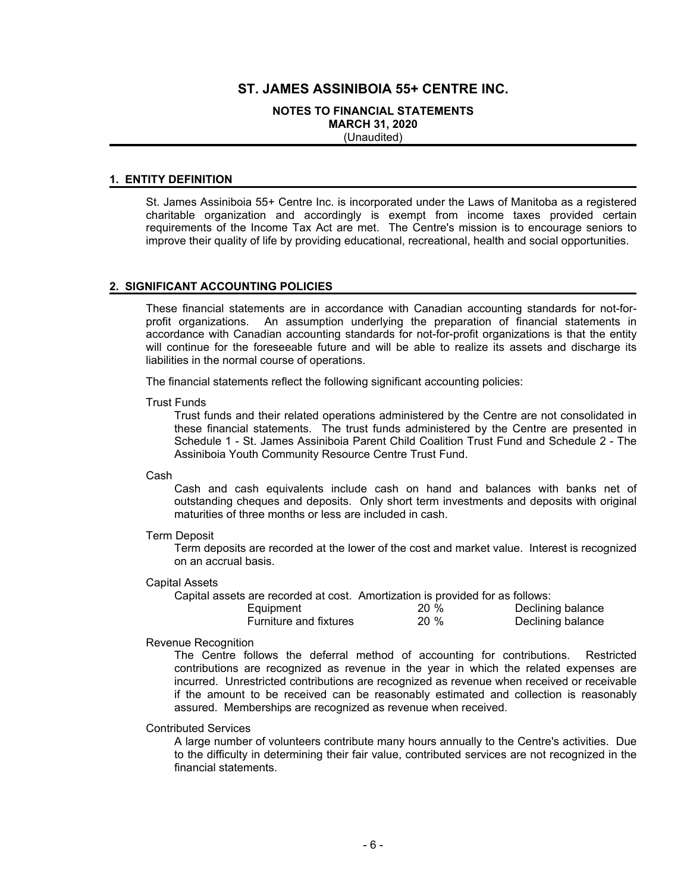#### **NOTES TO FINANCIAL STATEMENTS MARCH 31, 2020** (Unaudited)

#### **1. ENTITY DEFINITION**

St. James Assiniboia 55+ Centre Inc. is incorporated under the Laws of Manitoba as a registered charitable organization and accordingly is exempt from income taxes provided certain requirements of the Income Tax Act are met. The Centre's mission is to encourage seniors to improve their quality of life by providing educational, recreational, health and social opportunities.

#### **2. SIGNIFICANT ACCOUNTING POLICIES**

These financial statements are in accordance with Canadian accounting standards for not-forprofit organizations. An assumption underlying the preparation of financial statements in accordance with Canadian accounting standards for not-for-profit organizations is that the entity will continue for the foreseeable future and will be able to realize its assets and discharge its liabilities in the normal course of operations.

The financial statements reflect the following significant accounting policies:

Trust Funds

Trust funds and their related operations administered by the Centre are not consolidated in these financial statements. The trust funds administered by the Centre are presented in Schedule 1 - St. James Assiniboia Parent Child Coalition Trust Fund and Schedule 2 - The Assiniboia Youth Community Resource Centre Trust Fund.

#### Cash

Cash and cash equivalents include cash on hand and balances with banks net of outstanding cheques and deposits. Only short term investments and deposits with original maturities of three months or less are included in cash.

#### Term Deposit

Term deposits are recorded at the lower of the cost and market value. Interest is recognized on an accrual basis.

#### Capital Assets

| Capital assets are recorded at cost. Amortization is provided for as follows: |        |                   |
|-------------------------------------------------------------------------------|--------|-------------------|
| Equipment                                                                     | $20\%$ | Declining balance |
| <b>Furniture and fixtures</b>                                                 | $20\%$ | Declining balance |

#### Revenue Recognition

The Centre follows the deferral method of accounting for contributions. Restricted contributions are recognized as revenue in the year in which the related expenses are incurred. Unrestricted contributions are recognized as revenue when received or receivable if the amount to be received can be reasonably estimated and collection is reasonably assured. Memberships are recognized as revenue when received.

#### Contributed Services

A large number of volunteers contribute many hours annually to the Centre's activities. Due to the difficulty in determining their fair value, contributed services are not recognized in the financial statements.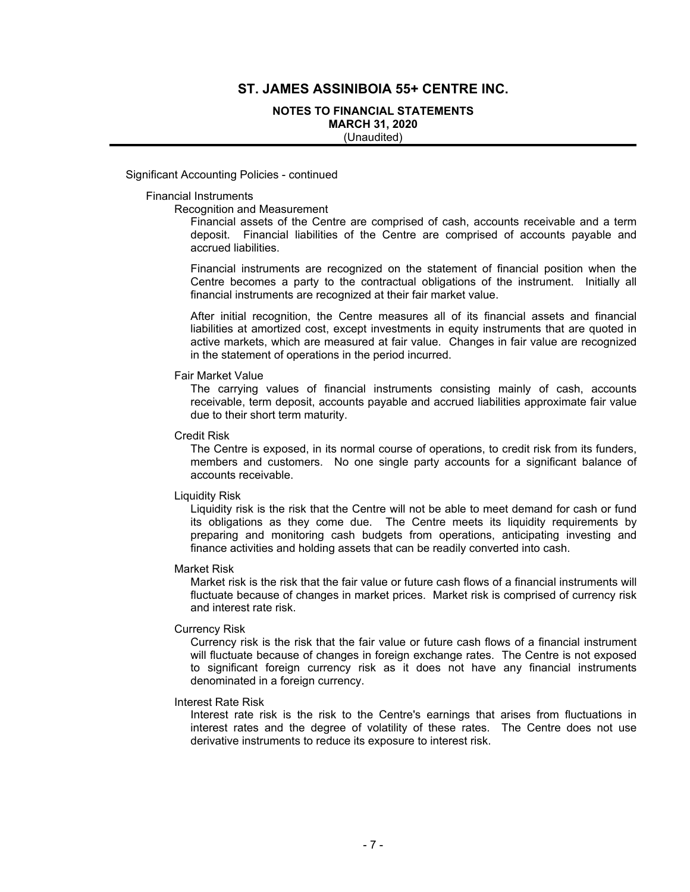#### **NOTES TO FINANCIAL STATEMENTS MARCH 31, 2020**

(Unaudited)

Significant Accounting Policies - continued

#### Financial Instruments

Recognition and Measurement

Financial assets of the Centre are comprised of cash, accounts receivable and a term deposit. Financial liabilities of the Centre are comprised of accounts payable and accrued liabilities.

Financial instruments are recognized on the statement of financial position when the Centre becomes a party to the contractual obligations of the instrument. Initially all financial instruments are recognized at their fair market value.

After initial recognition, the Centre measures all of its financial assets and financial liabilities at amortized cost, except investments in equity instruments that are quoted in active markets, which are measured at fair value. Changes in fair value are recognized in the statement of operations in the period incurred.

#### Fair Market Value

The carrying values of financial instruments consisting mainly of cash, accounts receivable, term deposit, accounts payable and accrued liabilities approximate fair value due to their short term maturity.

#### Credit Risk

The Centre is exposed, in its normal course of operations, to credit risk from its funders, members and customers. No one single party accounts for a significant balance of accounts receivable.

#### Liquidity Risk

Liquidity risk is the risk that the Centre will not be able to meet demand for cash or fund its obligations as they come due. The Centre meets its liquidity requirements by preparing and monitoring cash budgets from operations, anticipating investing and finance activities and holding assets that can be readily converted into cash.

#### Market Risk

Market risk is the risk that the fair value or future cash flows of a financial instruments will fluctuate because of changes in market prices. Market risk is comprised of currency risk and interest rate risk.

#### Currency Risk

Currency risk is the risk that the fair value or future cash flows of a financial instrument will fluctuate because of changes in foreign exchange rates. The Centre is not exposed to significant foreign currency risk as it does not have any financial instruments denominated in a foreign currency.

#### Interest Rate Risk

Interest rate risk is the risk to the Centre's earnings that arises from fluctuations in interest rates and the degree of volatility of these rates. The Centre does not use derivative instruments to reduce its exposure to interest risk.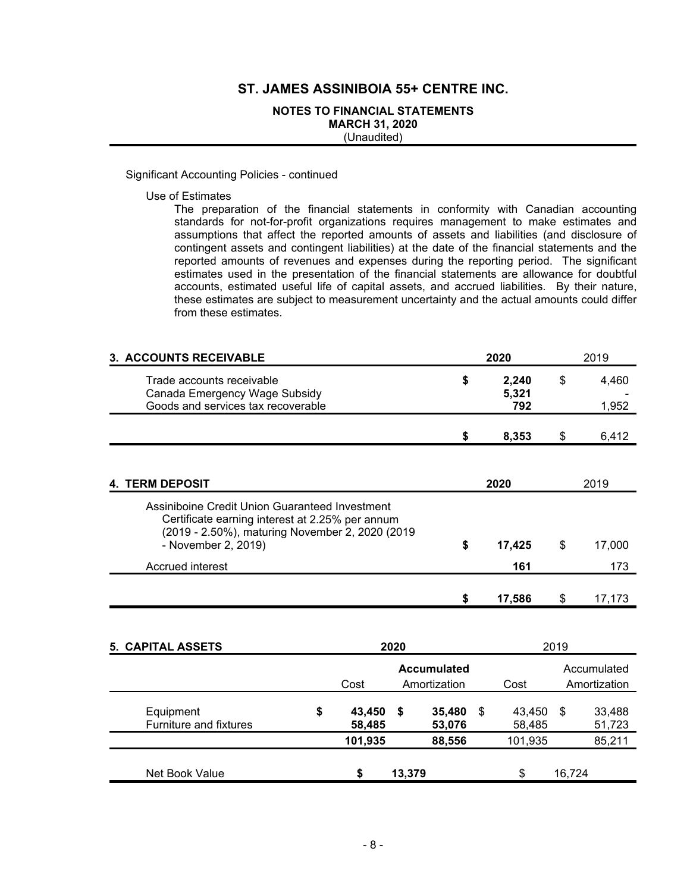### **NOTES TO FINANCIAL STATEMENTS MARCH 31, 2020**

(Unaudited)

#### Significant Accounting Policies - continued

Use of Estimates

The preparation of the financial statements in conformity with Canadian accounting standards for not-for-profit organizations requires management to make estimates and assumptions that affect the reported amounts of assets and liabilities (and disclosure of contingent assets and contingent liabilities) at the date of the financial statements and the reported amounts of revenues and expenses during the reporting period. The significant estimates used in the presentation of the financial statements are allowance for doubtful accounts, estimated useful life of capital assets, and accrued liabilities. By their nature, these estimates are subject to measurement uncertainty and the actual amounts could differ from these estimates.

| 3. ACCOUNTS RECEIVABLE                                                                                                                                                      |      | 2020                  |      | 2019           |
|-----------------------------------------------------------------------------------------------------------------------------------------------------------------------------|------|-----------------------|------|----------------|
| Trade accounts receivable<br>Canada Emergency Wage Subsidy<br>Goods and services tax recoverable                                                                            | \$   | 2,240<br>5,321<br>792 | \$   | 4,460<br>1,952 |
|                                                                                                                                                                             | S    | 8,353                 | \$   | 6,412          |
| <b>4. TERM DEPOSIT</b>                                                                                                                                                      |      | 2020                  |      | 2019           |
| Assiniboine Credit Union Guaranteed Investment<br>Certificate earning interest at 2.25% per annum<br>(2019 - 2.50%), maturing November 2, 2020 (2019<br>- November 2, 2019) | \$   | 17,425                | \$   | 17,000         |
| Accrued interest                                                                                                                                                            |      | 161                   |      | 173            |
|                                                                                                                                                                             | \$   | 17,586                | \$   | 17,173         |
| <b>5. CAPITAL ASSETS</b>                                                                                                                                                    | 2020 |                       | 2019 |                |

|                                     |                        |        |                                    |    | ---              |        |                             |
|-------------------------------------|------------------------|--------|------------------------------------|----|------------------|--------|-----------------------------|
|                                     | Cost                   |        | <b>Accumulated</b><br>Amortization |    | Cost             |        | Accumulated<br>Amortization |
| Equipment<br>Furniture and fixtures | \$<br>43,450<br>58,485 | \$     | 35,480<br>53,076                   | \$ | 43,450<br>58,485 | \$     | 33,488<br>51,723            |
|                                     | 101,935                |        | 88,556                             |    | 101,935          |        | 85,211                      |
| Net Book Value                      | S                      | 13,379 |                                    |    | \$               | 16,724 |                             |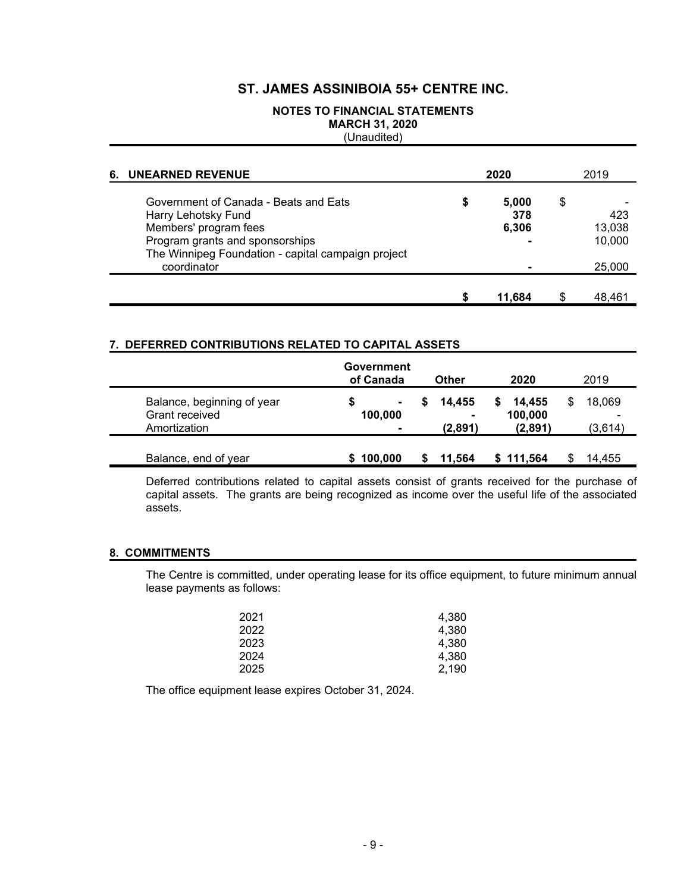# **NOTES TO FINANCIAL STATEMENTS MARCH 31, 2020**

(Unaudited)

| 6. | <b>UNEARNED REVENUE</b>                                                                                                                                                                       | 2020                        | 2019                                    |
|----|-----------------------------------------------------------------------------------------------------------------------------------------------------------------------------------------------|-----------------------------|-----------------------------------------|
|    | Government of Canada - Beats and Eats<br>Harry Lehotsky Fund<br>Members' program fees<br>Program grants and sponsorships<br>The Winnipeg Foundation - capital campaign project<br>coordinator | \$<br>5,000<br>378<br>6,306 | \$<br>423<br>13,038<br>10,000<br>25,000 |
|    |                                                                                                                                                                                               | \$<br>11.684                | 48.461                                  |

### **7. DEFERRED CONTRIBUTIONS RELATED TO CAPITAL ASSETS**

|                                                              | Government<br>of Canada        | Other                       | 2020                               | 2019                   |
|--------------------------------------------------------------|--------------------------------|-----------------------------|------------------------------------|------------------------|
| Balance, beginning of year<br>Grant received<br>Amortization | S<br>$\blacksquare$<br>100,000 | 14.455<br>S<br>۰<br>(2,891) | 14.455<br>S.<br>100,000<br>(2,891) | 18,069<br>S<br>(3,614) |
| Balance, end of year                                         | 100,000                        | 11,564                      | \$111,564                          | 14.455                 |

Deferred contributions related to capital assets consist of grants received for the purchase of capital assets. The grants are being recognized as income over the useful life of the associated assets.

### **8. COMMITMENTS**

The Centre is committed, under operating lease for its office equipment, to future minimum annual lease payments as follows:

| 2021 | 4,380 |
|------|-------|
| 2022 | 4.380 |
| 2023 | 4.380 |
| 2024 | 4.380 |
| 2025 | 2,190 |

The office equipment lease expires October 31, 2024.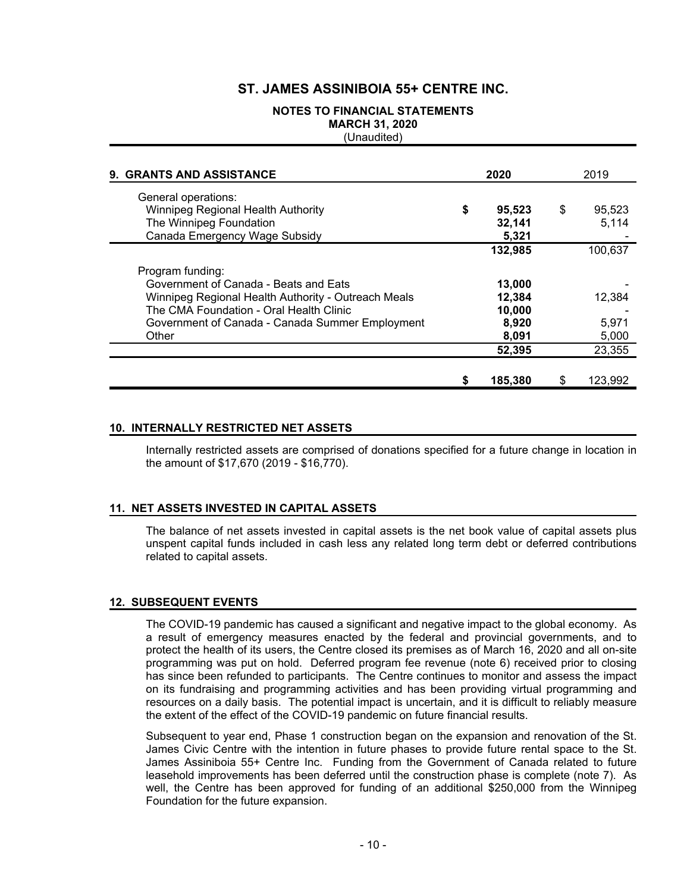### **NOTES TO FINANCIAL STATEMENTS MARCH 31, 2020**

(Unaudited)

| 9. GRANTS AND ASSISTANCE                                                                                                                                                                                                | 2020 |                                              | 2019 |                          |
|-------------------------------------------------------------------------------------------------------------------------------------------------------------------------------------------------------------------------|------|----------------------------------------------|------|--------------------------|
| General operations:<br>Winnipeg Regional Health Authority<br>The Winnipeg Foundation<br>Canada Emergency Wage Subsidy                                                                                                   | \$   | 95,523<br>32,141<br>5,321                    | \$   | 95.523<br>5.114          |
|                                                                                                                                                                                                                         |      | 132,985                                      |      | 100,637                  |
| Program funding:<br>Government of Canada - Beats and Eats<br>Winnipeg Regional Health Authority - Outreach Meals<br>The CMA Foundation - Oral Health Clinic<br>Government of Canada - Canada Summer Employment<br>Other |      | 13,000<br>12.384<br>10,000<br>8,920<br>8,091 |      | 12,384<br>5,971<br>5,000 |
|                                                                                                                                                                                                                         |      | 52,395                                       |      | 23,355                   |
|                                                                                                                                                                                                                         | S    | 185,380                                      | S    | 123,992                  |

#### **10. INTERNALLY RESTRICTED NET ASSETS**

Internally restricted assets are comprised of donations specified for a future change in location in the amount of \$17,670 (2019 - \$16,770).

#### **11. NET ASSETS INVESTED IN CAPITAL ASSETS**

The balance of net assets invested in capital assets is the net book value of capital assets plus unspent capital funds included in cash less any related long term debt or deferred contributions related to capital assets.

#### **12. SUBSEQUENT EVENTS**

The COVID-19 pandemic has caused a significant and negative impact to the global economy. As a result of emergency measures enacted by the federal and provincial governments, and to protect the health of its users, the Centre closed its premises as of March 16, 2020 and all on-site programming was put on hold. Deferred program fee revenue (note 6) received prior to closing has since been refunded to participants. The Centre continues to monitor and assess the impact on its fundraising and programming activities and has been providing virtual programming and resources on a daily basis. The potential impact is uncertain, and it is difficult to reliably measure the extent of the effect of the COVID-19 pandemic on future financial results.

Subsequent to year end, Phase 1 construction began on the expansion and renovation of the St. James Civic Centre with the intention in future phases to provide future rental space to the St. James Assiniboia 55+ Centre Inc. Funding from the Government of Canada related to future leasehold improvements has been deferred until the construction phase is complete (note 7). As well, the Centre has been approved for funding of an additional \$250,000 from the Winnipeg Foundation for the future expansion.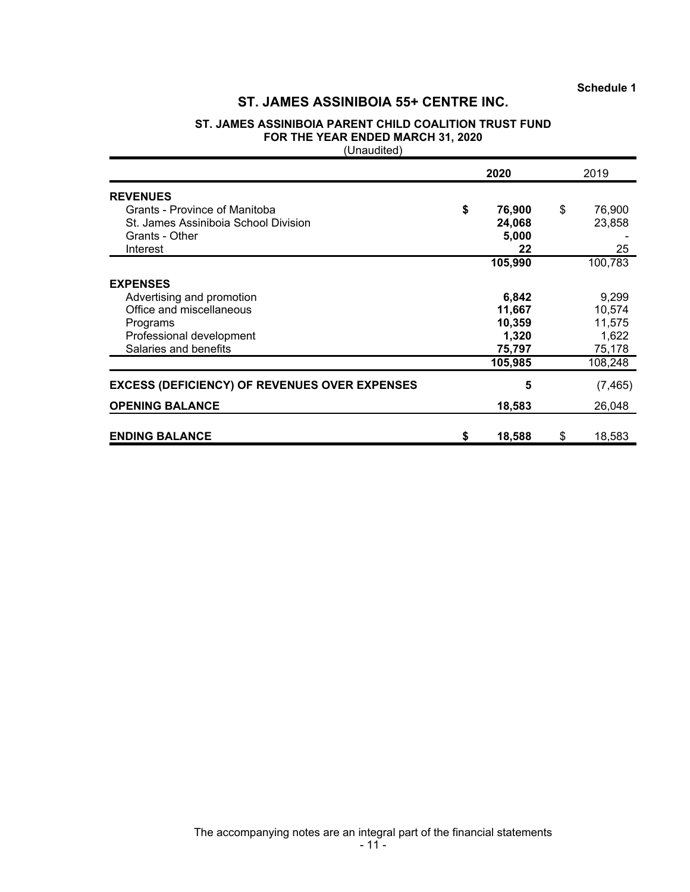### **ST. JAMES ASSINIBOIA PARENT CHILD COALITION TRUST FUND FOR THE YEAR ENDED MARCH 31, 2020**

(Unaudited)

|                                                                                                                                           | 2020 |                                              | 2019 |                                              |
|-------------------------------------------------------------------------------------------------------------------------------------------|------|----------------------------------------------|------|----------------------------------------------|
| <b>REVENUES</b><br>Grants - Province of Manitoba<br>St. James Assiniboia School Division<br>Grants - Other<br>Interest                    | \$   | 76,900<br>24,068<br>5,000<br>22              | \$   | 76,900<br>23,858<br>25                       |
|                                                                                                                                           |      | 105,990                                      |      | 100,783                                      |
| <b>EXPENSES</b><br>Advertising and promotion<br>Office and miscellaneous<br>Programs<br>Professional development<br>Salaries and benefits |      | 6,842<br>11,667<br>10,359<br>1,320<br>75,797 |      | 9,299<br>10,574<br>11,575<br>1,622<br>75,178 |
|                                                                                                                                           |      | 105,985                                      |      | 108,248                                      |
| <b>EXCESS (DEFICIENCY) OF REVENUES OVER EXPENSES</b>                                                                                      |      | 5                                            |      | (7, 465)                                     |
| <b>OPENING BALANCE</b>                                                                                                                    |      | 18,583                                       |      | 26,048                                       |
| <b>ENDING BALANCE</b>                                                                                                                     | \$   | 18,588                                       | \$   | 18,583                                       |